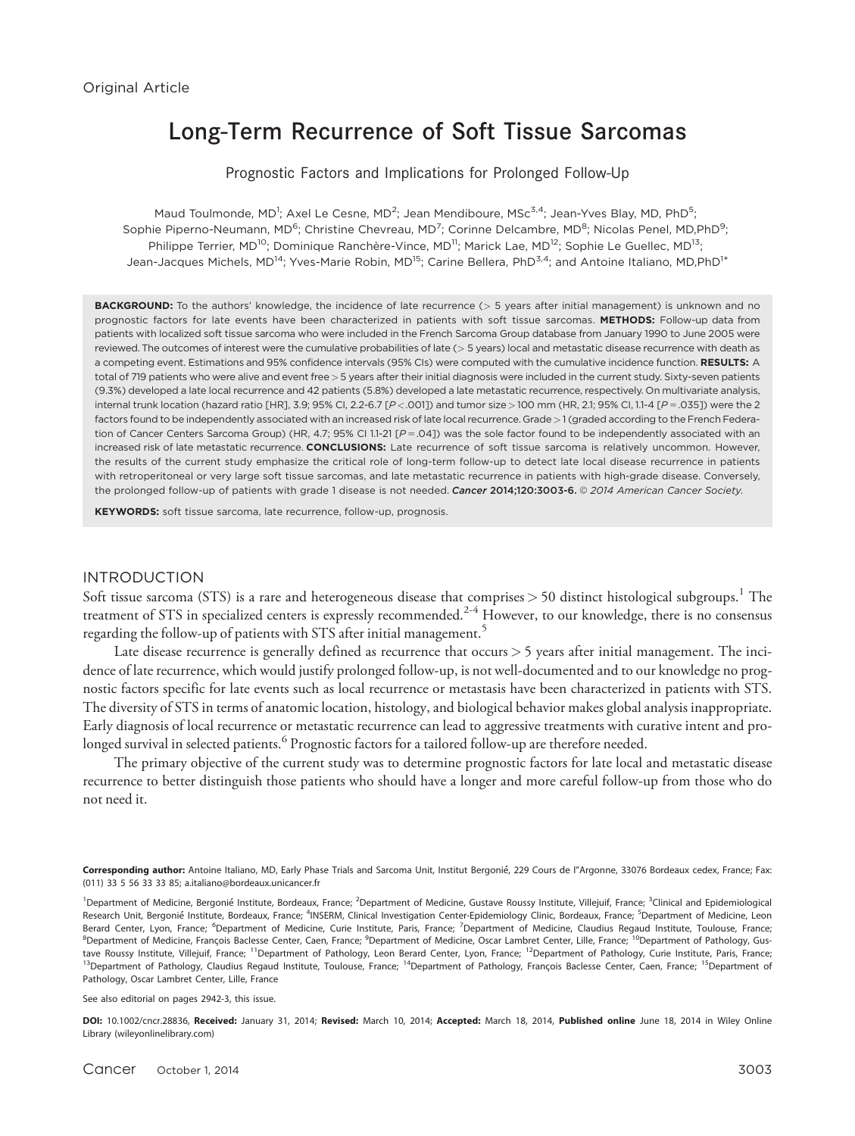# Long-Term Recurrence of Soft Tissue Sarcomas

Prognostic Factors and Implications for Prolonged Follow-Up

Maud Toulmonde, MD<sup>1</sup>; Axel Le Cesne, MD<sup>2</sup>; Jean Mendiboure, MSc $^{3,4}$ ; Jean-Yves Blay, MD, PhD $^5$ ; Sophie Piperno-Neumann, MD<sup>6</sup>; Christine Chevreau, MD<sup>7</sup>; Corinne Delcambre, MD<sup>8</sup>; Nicolas Penel, MD,PhD<sup>9</sup>; Philippe Terrier, MD<sup>10</sup>; Dominique Ranchère-Vince, MD<sup>11</sup>; Marick Lae, MD<sup>12</sup>; Sophie Le Guellec, MD<sup>13</sup>; Jean-Jacques Michels, MD<sup>14</sup>; Yves-Marie Robin, MD<sup>15</sup>; Carine Bellera, PhD<sup>3,4</sup>; and Antoine Italiano, MD,PhD<sup>1</sup>\*

BACKGROUND: To the authors' knowledge, the incidence of late recurrence (> 5 years after initial management) is unknown and no prognostic factors for late events have been characterized in patients with soft tissue sarcomas. METHODS: Follow-up data from patients with localized soft tissue sarcoma who were included in the French Sarcoma Group database from January 1990 to June 2005 were reviewed. The outcomes of interest were the cumulative probabilities of late (> 5 years) local and metastatic disease recurrence with death as a competing event. Estimations and 95% confidence intervals (95% CIs) were computed with the cumulative incidence function. RESULTS: A total of 719 patients who were alive and event free > 5 years after their initial diagnosis were included in the current study. Sixty-seven patients (9.3%) developed a late local recurrence and 42 patients (5.8%) developed a late metastatic recurrence, respectively. On multivariate analysis, internal trunk location (hazard ratio [HR], 3.9; 95% Cl, 2.2-6.7 [P <. 001]) and tumor size > 100 mm (HR, 2.1; 95% Cl, 1.1-4 [P = . 035]) were the 2 factors found to be independently associated with an increased risk of late local recurrence. Grade >1 (graded according to the French Federation of Cancer Centers Sarcoma Group) (HR, 4.7; 95% CI 1.1-21 [ $P = .04$ ]) was the sole factor found to be independently associated with an increased risk of late metastatic recurrence. CONCLUSIONS: Late recurrence of soft tissue sarcoma is relatively uncommon. However, the results of the current study emphasize the critical role of long-term follow-up to detect late local disease recurrence in patients with retroperitoneal or very large soft tissue sarcomas, and late metastatic recurrence in patients with high-grade disease. Conversely, the prolonged follow-up of patients with grade 1 disease is not needed. Cancer 2014;120:3003-6. © 2014 American Cancer Society.

KEYWORDS: soft tissue sarcoma, late recurrence, follow-up, prognosis.

#### INTRODUCTION

Soft tissue sarcoma (STS) is a rare and heterogeneous disease that comprises  $> 50$  distinct histological subgroups.<sup>1</sup> The treatment of STS in specialized centers is expressly recommended.<sup>2-4</sup> However, to our knowledge, there is no consensus regarding the follow-up of patients with STS after initial management.<sup>5</sup>

Late disease recurrence is generally defined as recurrence that occurs > 5 years after initial management. The incidence of late recurrence, which would justify prolonged follow-up, is not well-documented and to our knowledge no prognostic factors specific for late events such as local recurrence or metastasis have been characterized in patients with STS. The diversity of STS in terms of anatomic location, histology, and biological behavior makes global analysis inappropriate. Early diagnosis of local recurrence or metastatic recurrence can lead to aggressive treatments with curative intent and prolonged survival in selected patients.<sup>6</sup> Prognostic factors for a tailored follow-up are therefore needed.

The primary objective of the current study was to determine prognostic factors for late local and metastatic disease recurrence to better distinguish those patients who should have a longer and more careful follow-up from those who do not need it.

See also editorial on pages 2942-3, this issue.

DOI: 10.1002/cncr.28836, Received: January 31, 2014; Revised: March 10, 2014; Accepted: March 18, 2014, Published online June 18, 2014 in Wiley Online Library (wileyonlinelibrary.com)

Corresponding author: Antoine Italiano, MD, Early Phase Trials and Sarcoma Unit, Institut Bergonié, 229 Cours de l"Argonne, 33076 Bordeaux cedex, France; Fax: (011) 33 5 56 33 33 85; a.italiano@bordeaux.unicancer.fr

<sup>&</sup>lt;sup>1</sup>Department of Medicine, Bergonié Institute, Bordeaux, France; <sup>2</sup>Department of Medicine, Gustave Roussy Institute, Villejuif, France; <sup>3</sup>Clinical and Epidemiological Research Unit, Bergonié Institute, Bordeaux, France; <sup>4</sup>INSERM, Clinical Investigation Center-Epidemiology Clinic, Bordeaux, France; <sup>5</sup>Department of Medicine, Leon Berard Center, Lyon, France; <sup>6</sup>Department of Medicine, Curie Institute, Paris, France; <sup>7</sup>Department of Medicine, Claudius Regaud Institute, Toulouse, France; <sup>8</sup>Department of Medicine, François Baclesse Center, Caen, France; <sup>9</sup>Department of Medicine, Oscar Lambret Center, Lille, France; <sup>10</sup>Department of Pathology, Gustave Roussy Institute, Villejuif, France; <sup>11</sup>Department of Pathology, Leon Berard Center, Lyon, France; <sup>12</sup>Department of Pathology, Curie Institute, Paris, France; <sup>13</sup>Department of Pathology, Claudius Regaud Institute, Toulouse, France; <sup>14</sup>Department of Pathology, François Baclesse Center, Caen, France; <sup>15</sup>Department of Pathology, Oscar Lambret Center, Lille, France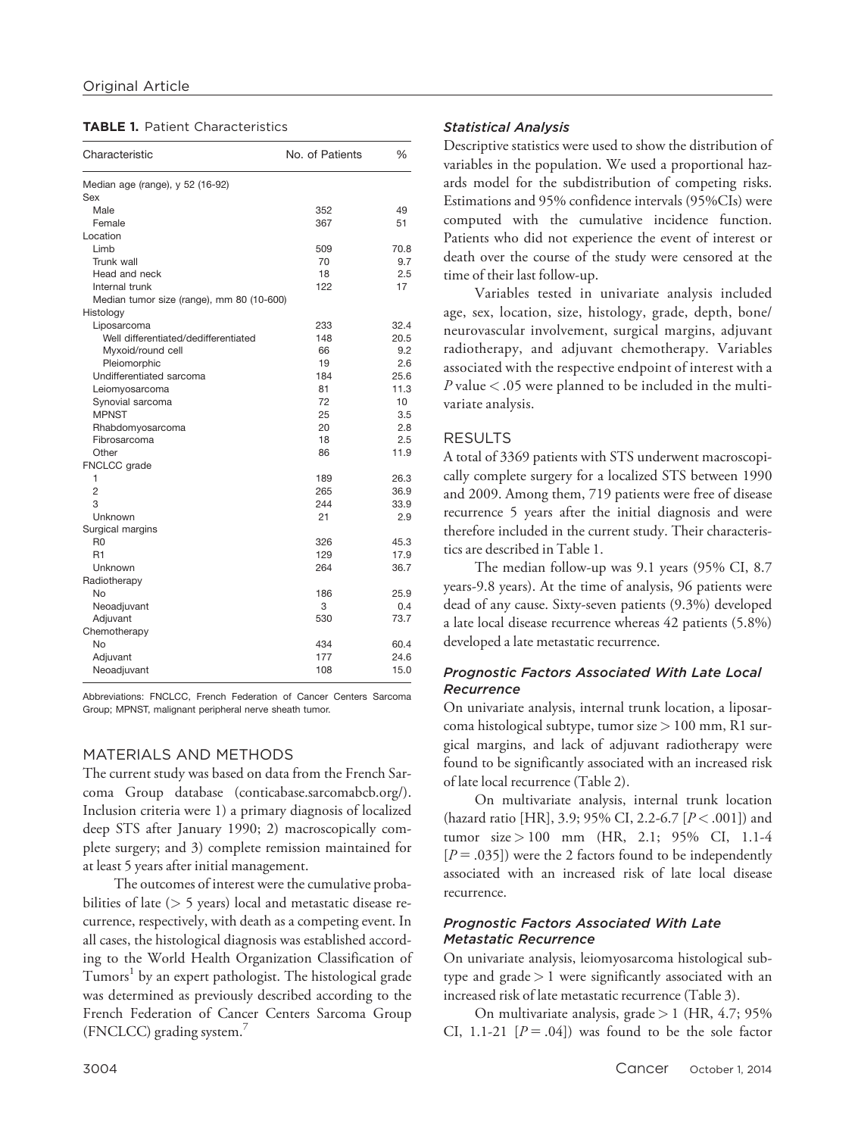|  |  | <b>TABLE 1. Patient Characteristics</b> |
|--|--|-----------------------------------------|
|--|--|-----------------------------------------|

| Characteristic                            | No. of Patients | $\frac{0}{0}$   |  |
|-------------------------------------------|-----------------|-----------------|--|
| Median age (range), y 52 (16-92)          |                 |                 |  |
| Sex                                       |                 |                 |  |
| Male                                      | 352             | 49              |  |
| Female                                    | 367             | 51              |  |
| Location                                  |                 |                 |  |
| Limb                                      | 509             | 70.8            |  |
| Trunk wall                                | 70              | 9.7             |  |
| Head and neck                             | 18              | 2.5             |  |
| Internal trunk                            | 122             | 17              |  |
| Median tumor size (range), mm 80 (10-600) |                 |                 |  |
| Histology                                 |                 |                 |  |
| Liposarcoma                               | 233             | 32.4            |  |
| Well differentiated/dedifferentiated      | 148             | 20.5            |  |
| Myxoid/round cell                         | 66              | 9.2             |  |
| Pleiomorphic                              | 19              | 2.6             |  |
| Undifferentiated sarcoma                  | 184             | 25.6            |  |
| Leiomyosarcoma                            | 81              | 11.3            |  |
| Synovial sarcoma                          | 72              | 10 <sup>1</sup> |  |
| <b>MPNST</b>                              | 25              | 3.5             |  |
| Rhabdomyosarcoma                          | 20              | 2.8             |  |
| Fibrosarcoma                              | 18              | 2.5             |  |
| Other                                     | 86              | 11.9            |  |
| FNCLCC grade                              |                 |                 |  |
| 1                                         | 189             | 26.3            |  |
| $\overline{2}$                            | 265             | 36.9            |  |
| 3                                         | 244             | 33.9            |  |
| Unknown                                   | 21              | 2.9             |  |
| Surgical margins                          |                 |                 |  |
| R <sub>0</sub>                            | 326             | 45.3            |  |
| R1                                        | 129             | 17.9            |  |
| Unknown                                   | 264             | 36.7            |  |
| Radiotherapy                              |                 |                 |  |
| No                                        | 186             | 25.9            |  |
| Neoadjuvant                               | 3               | 0.4             |  |
| Adjuvant                                  | 530             | 73.7            |  |
| Chemotherapy                              |                 |                 |  |
| No                                        | 434             | 60.4            |  |
| Adjuvant                                  | 177             | 24.6            |  |
| Neoadjuvant                               | 108             | 15.0            |  |

Abbreviations: FNCLCC, French Federation of Cancer Centers Sarcoma Group; MPNST, malignant peripheral nerve sheath tumor.

## MATERIALS AND METHODS

The current study was based on data from the French Sarcoma Group database (conticabase.sarcomabcb.org/). Inclusion criteria were 1) a primary diagnosis of localized deep STS after January 1990; 2) macroscopically complete surgery; and 3) complete remission maintained for at least 5 years after initial management.

The outcomes of interest were the cumulative probabilities of late (> 5 years) local and metastatic disease recurrence, respectively, with death as a competing event. In all cases, the histological diagnosis was established according to the World Health Organization Classification of Tumors<sup>1</sup> by an expert pathologist. The histological grade was determined as previously described according to the French Federation of Cancer Centers Sarcoma Group (FNCLCC) grading system.7

### Statistical Analysis

Descriptive statistics were used to show the distribution of variables in the population. We used a proportional hazards model for the subdistribution of competing risks. Estimations and 95% confidence intervals (95%CIs) were computed with the cumulative incidence function. Patients who did not experience the event of interest or death over the course of the study were censored at the time of their last follow-up.

Variables tested in univariate analysis included age, sex, location, size, histology, grade, depth, bone/ neurovascular involvement, surgical margins, adjuvant radiotherapy, and adjuvant chemotherapy. Variables associated with the respective endpoint of interest with a  $P$  value  $<$  .05 were planned to be included in the multivariate analysis.

## RESULTS

A total of 3369 patients with STS underwent macroscopically complete surgery for a localized STS between 1990 and 2009. Among them, 719 patients were free of disease recurrence 5 years after the initial diagnosis and were therefore included in the current study. Their characteristics are described in Table 1.

The median follow-up was 9.1 years (95% CI, 8.7 years-9.8 years). At the time of analysis, 96 patients were dead of any cause. Sixty-seven patients (9.3%) developed a late local disease recurrence whereas 42 patients (5.8%) developed a late metastatic recurrence.

## Prognostic Factors Associated With Late Local **Recurrence**

On univariate analysis, internal trunk location, a liposarcoma histological subtype, tumor size > 100 mm, R1 surgical margins, and lack of adjuvant radiotherapy were found to be significantly associated with an increased risk of late local recurrence (Table 2).

On multivariate analysis, internal trunk location (hazard ratio [HR], 3.9; 95% CI, 2.2-6.7 [ $P < .001$ ]) and tumor size > 100 mm (HR, 2.1; 95% CI, 1.1-4  $[P = .035]$ ) were the 2 factors found to be independently associated with an increased risk of late local disease recurrence.

## Prognostic Factors Associated With Late Metastatic Recurrence

On univariate analysis, leiomyosarcoma histological subtype and grade  $> 1$  were significantly associated with an increased risk of late metastatic recurrence (Table 3).

On multivariate analysis, grade  $> 1$  (HR, 4.7; 95% CI, 1.1-21  $[P = .04]$  was found to be the sole factor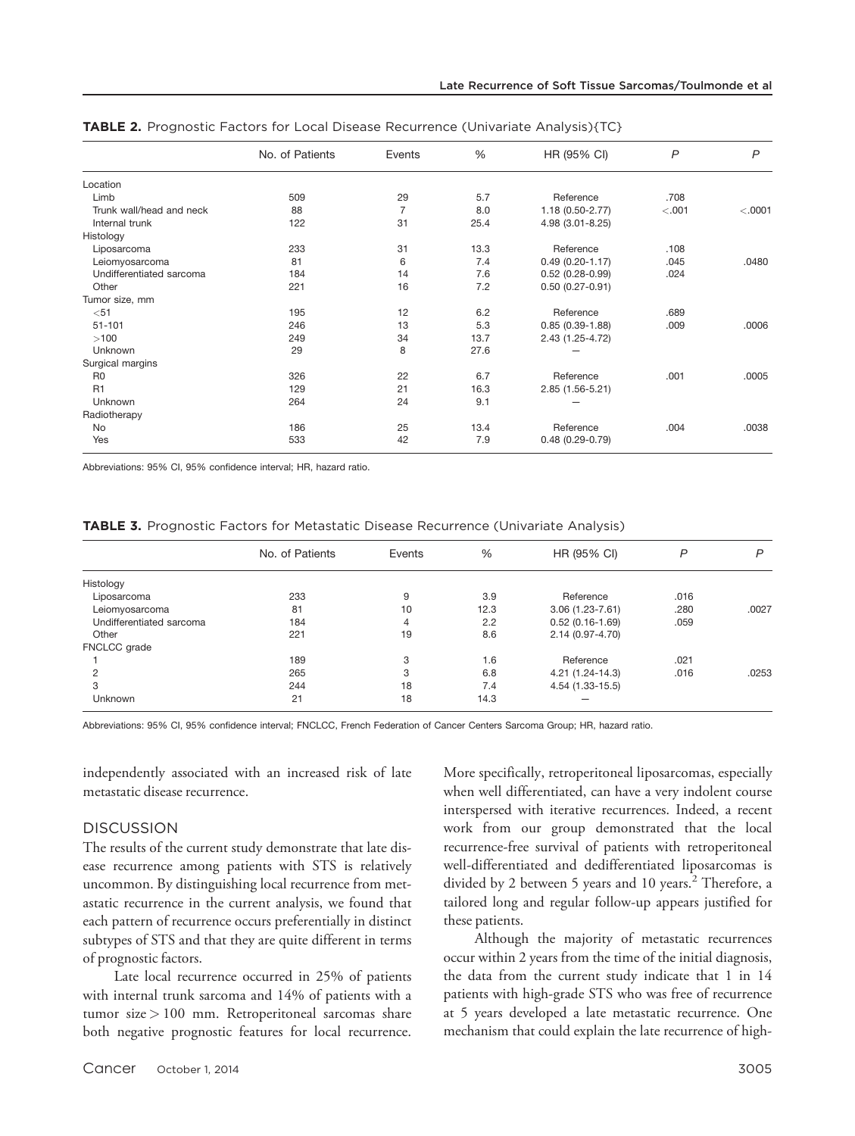|                          | No. of Patients | Events         | $\frac{0}{0}$ | HR (95% CI)         | $\mathsf{P}$ | $\mathsf{P}$ |
|--------------------------|-----------------|----------------|---------------|---------------------|--------------|--------------|
| Location                 |                 |                |               |                     |              |              |
| Limb                     | 509             | 29             | 5.7           | Reference           | .708         |              |
| Trunk wall/head and neck | 88              | $\overline{7}$ | 8.0           | 1.18 (0.50-2.77)    | < .001       | < .0001      |
| Internal trunk           | 122             | 31             | 25.4          | 4.98 (3.01-8.25)    |              |              |
| Histology                |                 |                |               |                     |              |              |
| Liposarcoma              | 233             | 31             | 13.3          | Reference           | .108         |              |
| Leiomyosarcoma           | 81              | 6              | 7.4           | $0.49(0.20-1.17)$   | .045         | .0480        |
| Undifferentiated sarcoma | 184             | 14             | 7.6           | $0.52(0.28-0.99)$   | .024         |              |
| Other                    | 221             | 16             | 7.2           | $0.50(0.27-0.91)$   |              |              |
| Tumor size, mm           |                 |                |               |                     |              |              |
| $51$                     | 195             | 12             | 6.2           | Reference           | .689         |              |
| $51 - 101$               | 246             | 13             | 5.3           | $0.85(0.39-1.88)$   | .009         | .0006        |
| $>100$                   | 249             | 34             | 13.7          | 2.43 (1.25-4.72)    |              |              |
| Unknown                  | 29              | 8              | 27.6          |                     |              |              |
| Surgical margins         |                 |                |               |                     |              |              |
| R <sub>0</sub>           | 326             | 22             | 6.7           | Reference           | .001         | .0005        |
| R <sub>1</sub>           | 129             | 21             | 16.3          | 2.85 (1.56-5.21)    |              |              |
| Unknown                  | 264             | 24             | 9.1           |                     |              |              |
| Radiotherapy             |                 |                |               |                     |              |              |
| No                       | 186             | 25             | 13.4          | Reference           | .004         | .0038        |
| Yes                      | 533             | 42             | 7.9           | $0.48(0.29 - 0.79)$ |              |              |

TABLE 2. Prognostic Factors for Local Disease Recurrence (Univariate Analysis){TC}

Abbreviations: 95% CI, 95% confidence interval; HR, hazard ratio.

| TABLE 3. Prognostic Factors for Metastatic Disease Recurrence (Univariate Analysis) |  |  |  |
|-------------------------------------------------------------------------------------|--|--|--|
|-------------------------------------------------------------------------------------|--|--|--|

|                          | No. of Patients | Events | %    | HR (95% CI)         | P    | P     |
|--------------------------|-----------------|--------|------|---------------------|------|-------|
| Histology                |                 |        |      |                     |      |       |
| Liposarcoma              | 233             | 9      | 3.9  | Reference           | .016 |       |
| Leiomyosarcoma           | 81              | 10     | 12.3 | $3.06(1.23 - 7.61)$ | .280 | .0027 |
| Undifferentiated sarcoma | 184             | 4      | 2.2  | $0.52(0.16-1.69)$   | .059 |       |
| Other                    | 221             | 19     | 8.6  | 2.14 (0.97-4.70)    |      |       |
| FNCLCC grade             |                 |        |      |                     |      |       |
|                          | 189             | 3      | 1.6  | Reference           | .021 |       |
| 2                        | 265             | 3      | 6.8  | 4.21 (1.24-14.3)    | .016 | .0253 |
| 3                        | 244             | 18     | 7.4  | 4.54 (1.33-15.5)    |      |       |
| Unknown                  | 21              | 18     | 14.3 |                     |      |       |

Abbreviations: 95% CI, 95% confidence interval; FNCLCC, French Federation of Cancer Centers Sarcoma Group; HR, hazard ratio.

independently associated with an increased risk of late metastatic disease recurrence.

#### **DISCUSSION**

The results of the current study demonstrate that late disease recurrence among patients with STS is relatively uncommon. By distinguishing local recurrence from metastatic recurrence in the current analysis, we found that each pattern of recurrence occurs preferentially in distinct subtypes of STS and that they are quite different in terms of prognostic factors.

Late local recurrence occurred in 25% of patients with internal trunk sarcoma and 14% of patients with a tumor size > 100 mm. Retroperitoneal sarcomas share both negative prognostic features for local recurrence. More specifically, retroperitoneal liposarcomas, especially when well differentiated, can have a very indolent course interspersed with iterative recurrences. Indeed, a recent work from our group demonstrated that the local recurrence-free survival of patients with retroperitoneal well-differentiated and dedifferentiated liposarcomas is divided by 2 between 5 years and 10 years.<sup>2</sup> Therefore, a tailored long and regular follow-up appears justified for these patients.

Although the majority of metastatic recurrences occur within 2 years from the time of the initial diagnosis, the data from the current study indicate that 1 in 14 patients with high-grade STS who was free of recurrence at 5 years developed a late metastatic recurrence. One mechanism that could explain the late recurrence of high